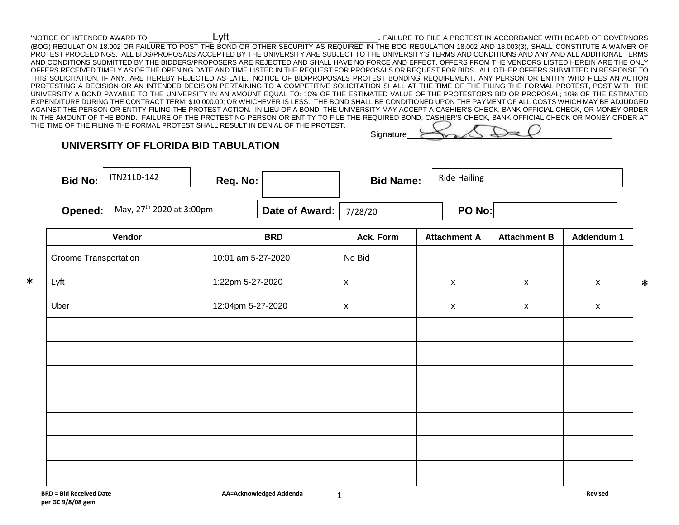## 'NOTICE OF INTENDED AWARD TO \_\_\_\_\_\_\_\_\_\_\_Lyft\_\_\_\_\_\_\_\_\_\_\_\_\_\_\_\_\_\_\_\_\_\_\_\_\_\_. FAILURE TO FILE A PROTEST IN ACCORDANCE WITH BOARD OF GOVERNORS

(BOG) REGULATION 18.002 OR FAILURE TO POST THE BOND OR OTHER SECURITY AS REQUIRED IN THE BOG REGULATION 18.002 AND 18.003(3), SHALL CONSTITUTE A WAIVER OF PROTEST PROCEEDINGS. ALL BIDS/PROPOSALS ACCEPTED BY THE UNIVERSITY ARE SUBJECT TO THE UNIVERSITY'S TERMS AND CONDITIONS AND ANY AND ALL ADDITIONAL TERMS AND CONDITIONS SUBMITTED BY THE BIDDERS/PROPOSERS ARE REJECTED AND SHALL HAVE NO FORCE AND EFFECT. OFFERS FROM THE VENDORS LISTED HEREIN ARE THE ONLY OFFERS RECEIVED TIMELY AS OF THE OPENING DATE AND TIME LISTED IN THE REQUEST FOR PROPOSALS OR REQUEST FOR BIDS. ALL OTHER OFFERS SUBMITTED IN RESPONSE TO THIS SOLICITATION, IF ANY, ARE HEREBY REJECTED AS LATE. NOTICE OF BID/PROPOSALS PROTEST BONDING REQUIREMENT. ANY PERSON OR ENTITY WHO FILES AN ACTION PROTESTING A DECISION OR AN INTENDED DECISION PERTAINING TO A COMPETITIVE SOLICITATION SHALL AT THE TIME OF THE FILING THE FORMAL PROTEST, POST WITH THE UNIVERSITY A BOND PAYABLE TO THE UNIVERSITY IN AN AMOUNT EQUAL TO: 10% OF THE ESTIMATED VALUE OF THE PROTESTOR'S BID OR PROPOSAL; 10% OF THE ESTIMATED EXPENDITURE DURING THE CONTRACT TERM; \$10,000.00; OR WHICHEVER IS LESS. THE BOND SHALL BE CONDITIONED UPON THE PAYMENT OF ALL COSTS WHICH MAY BE ADJUDGED AGAINST THE PERSON OR ENTITY FILING THE PROTEST ACTION. IN LIEU OF A BOND, THE UNIVERSITY MAY ACCEPT A CASHIER'S CHECK, BANK OFFICIAL CHECK, OR MONEY ORDER IN THE AMOUNT OF THE BOND. FAILURE OF THE PROTESTING PERSON OR ENTITY TO FILE THE REQUIRED BOND, CASHIER'S CHECK, BANK OFFICIAL CHECK OR MONEY ORDER AT THE TIME OF THE FILING THE FORMAL PROTEST SHALL RESULT IN DENIAL OF THE PROTEST.

**Signature** 

## **UNIVERSITY OF FLORIDA BID TABULATION**

| <b>Bid No:</b> | ITN21LD-142                                           | Req. No: $ $ |                                  | <b>Bid Name:</b> | <b>Ride Hailing</b> |  |
|----------------|-------------------------------------------------------|--------------|----------------------------------|------------------|---------------------|--|
|                | <b>Opened:</b>   May, 27 <sup>th</sup> 2020 at 3:00pm |              | <b>Date of Award:</b> $ 7/28/20$ |                  | PO No:              |  |

|        | Vendor                       | <b>BRD</b>         | Ack. Form          | <b>Attachment A</b> | <b>Attachment B</b> | Addendum 1         |        |
|--------|------------------------------|--------------------|--------------------|---------------------|---------------------|--------------------|--------|
|        | <b>Groome Transportation</b> | 10:01 am 5-27-2020 | No Bid             |                     |                     |                    |        |
| $\ast$ | Lyft                         | 1:22pm 5-27-2020   | X                  | $\mathsf X$         | $\mathsf X$         | $\mathsf X$        | $\ast$ |
|        | Uber                         | 12:04pm 5-27-2020  | $\pmb{\mathsf{X}}$ | $\pmb{\mathsf{X}}$  | $\pmb{\mathsf{X}}$  | $\pmb{\mathsf{X}}$ |        |
|        |                              |                    |                    |                     |                     |                    |        |
|        |                              |                    |                    |                     |                     |                    |        |
|        |                              |                    |                    |                     |                     |                    |        |
|        |                              |                    |                    |                     |                     |                    |        |
|        |                              |                    |                    |                     |                     |                    |        |
|        |                              |                    |                    |                     |                     |                    |        |
|        |                              |                    |                    |                     |                     |                    |        |
|        |                              |                    |                    |                     |                     |                    |        |